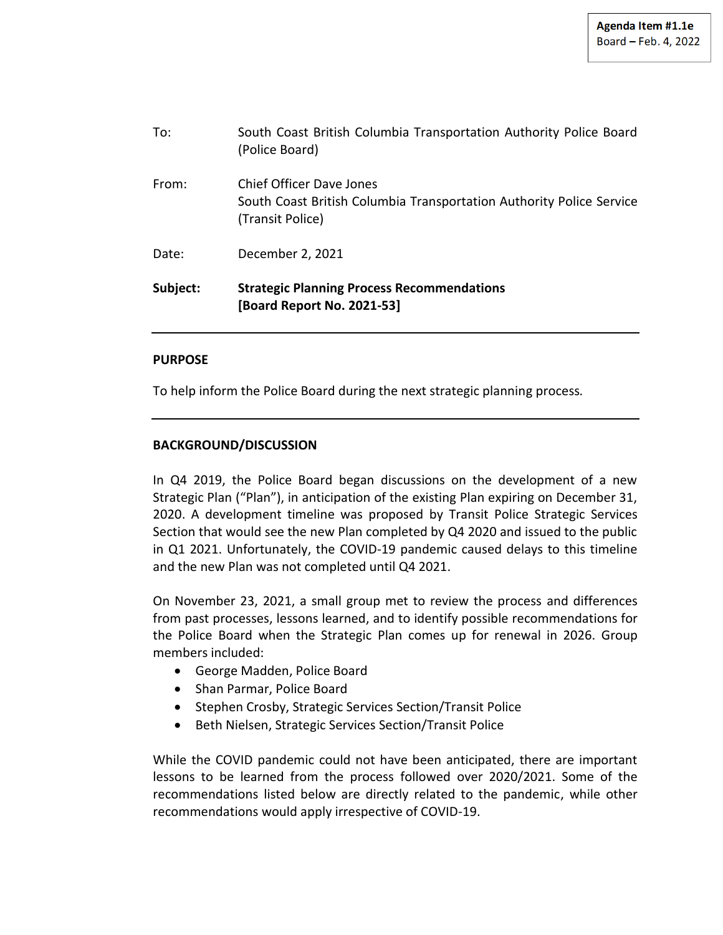| Subject: | <b>Strategic Planning Process Recommendations</b><br>[Board Report No. 2021-53]                                      |
|----------|----------------------------------------------------------------------------------------------------------------------|
| Date:    | December 2, 2021                                                                                                     |
| From:    | Chief Officer Dave Jones<br>South Coast British Columbia Transportation Authority Police Service<br>(Transit Police) |
| To:      | South Coast British Columbia Transportation Authority Police Board<br>(Police Board)                                 |

## **PURPOSE**

To help inform the Police Board during the next strategic planning process*.*

## **BACKGROUND/DISCUSSION**

In Q4 2019, the Police Board began discussions on the development of a new Strategic Plan ("Plan"), in anticipation of the existing Plan expiring on December 31, 2020. A development timeline was proposed by Transit Police Strategic Services Section that would see the new Plan completed by Q4 2020 and issued to the public in Q1 2021. Unfortunately, the COVID-19 pandemic caused delays to this timeline and the new Plan was not completed until Q4 2021.

On November 23, 2021, a small group met to review the process and differences from past processes, lessons learned, and to identify possible recommendations for the Police Board when the Strategic Plan comes up for renewal in 2026. Group members included:

- George Madden, Police Board
- Shan Parmar, Police Board
- Stephen Crosby, Strategic Services Section/Transit Police
- Beth Nielsen, Strategic Services Section/Transit Police

While the COVID pandemic could not have been anticipated, there are important lessons to be learned from the process followed over 2020/2021. Some of the recommendations listed below are directly related to the pandemic, while other recommendations would apply irrespective of COVID-19.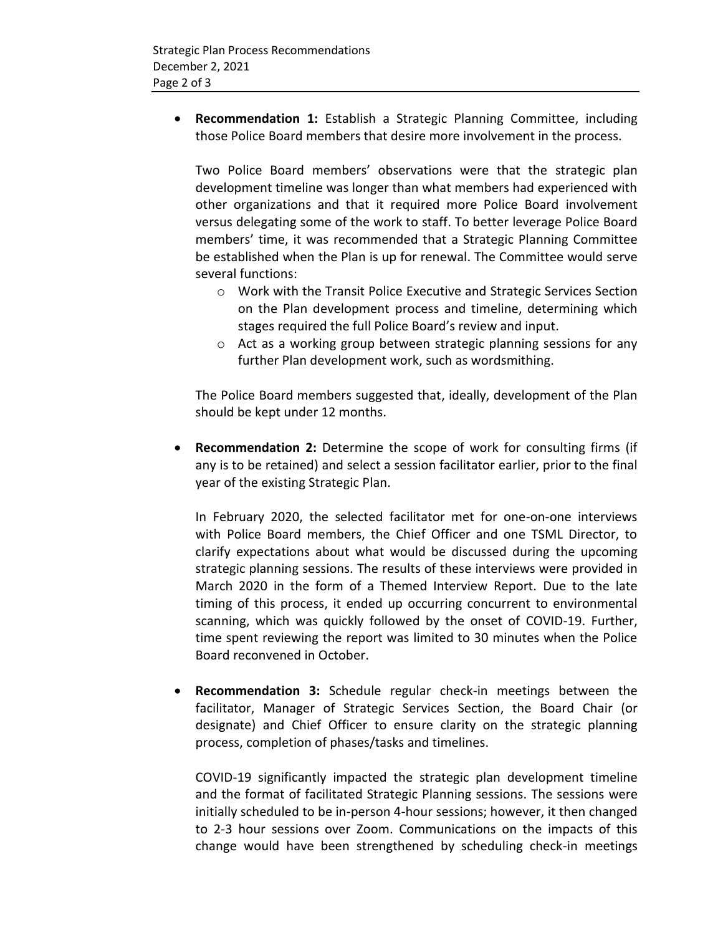**Recommendation 1:** Establish a Strategic Planning Committee, including those Police Board members that desire more involvement in the process.

Two Police Board members' observations were that the strategic plan development timeline was longer than what members had experienced with other organizations and that it required more Police Board involvement versus delegating some of the work to staff. To better leverage Police Board members' time, it was recommended that a Strategic Planning Committee be established when the Plan is up for renewal. The Committee would serve several functions:

- o Work with the Transit Police Executive and Strategic Services Section on the Plan development process and timeline, determining which stages required the full Police Board's review and input.
- o Act as a working group between strategic planning sessions for any further Plan development work, such as wordsmithing.

The Police Board members suggested that, ideally, development of the Plan should be kept under 12 months.

 **Recommendation 2:** Determine the scope of work for consulting firms (if any is to be retained) and select a session facilitator earlier, prior to the final year of the existing Strategic Plan.

In February 2020, the selected facilitator met for one-on-one interviews with Police Board members, the Chief Officer and one TSML Director, to clarify expectations about what would be discussed during the upcoming strategic planning sessions. The results of these interviews were provided in March 2020 in the form of a Themed Interview Report. Due to the late timing of this process, it ended up occurring concurrent to environmental scanning, which was quickly followed by the onset of COVID-19. Further, time spent reviewing the report was limited to 30 minutes when the Police Board reconvened in October.

 **Recommendation 3:** Schedule regular check-in meetings between the facilitator, Manager of Strategic Services Section, the Board Chair (or designate) and Chief Officer to ensure clarity on the strategic planning process, completion of phases/tasks and timelines.

COVID-19 significantly impacted the strategic plan development timeline and the format of facilitated Strategic Planning sessions. The sessions were initially scheduled to be in-person 4-hour sessions; however, it then changed to 2-3 hour sessions over Zoom. Communications on the impacts of this change would have been strengthened by scheduling check-in meetings